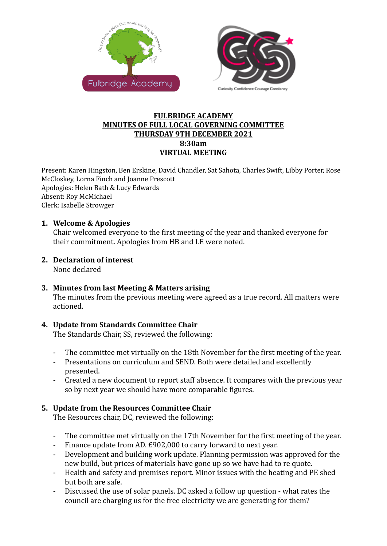



#### **FULBRIDGE ACADEMY MINUTES OF FULL LOCAL GOVERNING COMMITTEE THURSDAY 9TH DECEMBER 2021 8:30am VIRTUAL MEETING**

Present: Karen Hingston, Ben Erskine, David Chandler, Sat Sahota, Charles Swift, Libby Porter, Rose McCloskey, Lorna Finch and Joanne Prescott Apologies: Helen Bath & Lucy Edwards Absent: Roy McMichael Clerk: Isabelle Strowger

#### **1. Welcome & Apologies**

Chair welcomed everyone to the first meeting of the year and thanked everyone for their commitment. Apologies from HB and LE were noted.

#### **2. Declaration of interest**

None declared

# **3. Minutes from last Meeting & Matters arising**

The minutes from the previous meeting were agreed as a true record. All matters were actioned.

# **4. Update from Standards Committee Chair**

The Standards Chair, SS, reviewed the following:

- The committee met virtually on the 18th November for the first meeting of the year.
- Presentations on curriculum and SEND. Both were detailed and excellently presented.
- Created a new document to report staff absence. It compares with the previous year so by next year we should have more comparable figures.

# **5. Update from the Resources Committee Chair**

The Resources chair, DC, reviewed the following:

- The committee met virtually on the 17th November for the first meeting of the year.
- Finance update from AD. £902,000 to carry forward to next year.
- Development and building work update. Planning permission was approved for the new build, but prices of materials have gone up so we have had to re quote.
- Health and safety and premises report. Minor issues with the heating and PE shed but both are safe.
- Discussed the use of solar panels. DC asked a follow up question what rates the council are charging us for the free electricity we are generating for them?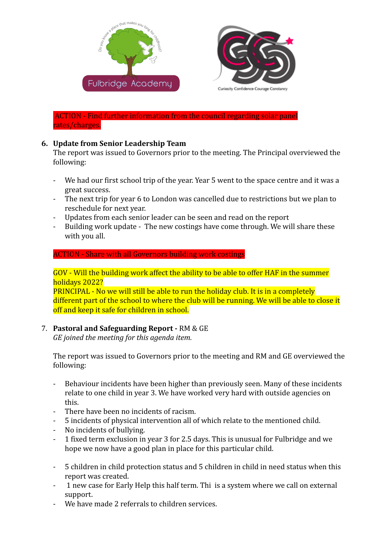



ACTION - Find further information from the council regarding solar panel rates/charges.

# **6. Update from Senior Leadership Team**

The report was issued to Governors prior to the meeting. The Principal overviewed the following:

- We had our first school trip of the year. Year 5 went to the space centre and it was a great success.
- The next trip for year 6 to London was cancelled due to restrictions but we plan to reschedule for next year.
- Updates from each senior leader can be seen and read on the report
- Building work update The new costings have come through. We will share these with you all.

#### ACTION - Share with all Governors building work costings

GOV - Will the building work affect the ability to be able to offer HAF in the summer holidays 2022?

PRINCIPAL - No we will still be able to run the holiday club. It is in a completely different part of the school to where the club will be running. We will be able to close it off and keep it safe for children in school.

# 7. **Pastoral and Safeguarding Report -** RM & GE

*GE joined the meeting for this agenda item.*

The report was issued to Governors prior to the meeting and RM and GE overviewed the following:

- Behaviour incidents have been higher than previously seen. Many of these incidents relate to one child in year 3. We have worked very hard with outside agencies on this.
- There have been no incidents of racism.
- 5 incidents of physical intervention all of which relate to the mentioned child.
- No incidents of bullying.
- 1 fixed term exclusion in year 3 for 2.5 days. This is unusual for Fulbridge and we hope we now have a good plan in place for this particular child.
- 5 children in child protection status and 5 children in child in need status when this report was created.
- 1 new case for Early Help this half term. Thi is a system where we call on external support.
- We have made 2 referrals to children services.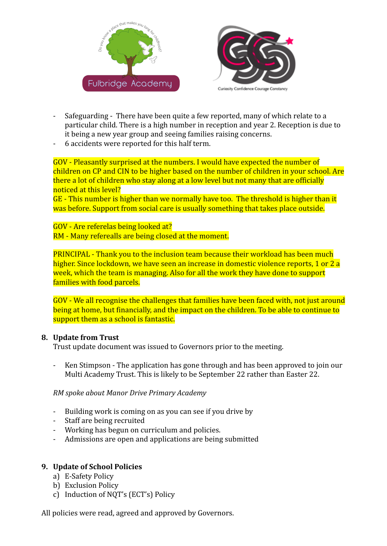



- Safeguarding There have been quite a few reported, many of which relate to a particular child. There is a high number in reception and year 2. Reception is due to it being a new year group and seeing families raising concerns.
- 6 accidents were reported for this half term.

GOV - Pleasantly surprised at the numbers. I would have expected the number of children on CP and CIN to be higher based on the number of children in your school. Are there a lot of children who stay along at a low level but not many that are officially noticed at this level?

GE - This number is higher than we normally have too. The threshold is higher than it was before. Support from social care is usually something that takes place outside.

GOV - Are referelas being looked at? RM - Many referealls are being closed at the moment.

PRINCIPAL - Thank you to the inclusion team because their workload has been much higher. Since lockdown, we have seen an increase in domestic violence reports, 1 or 2 a week, which the team is managing. Also for all the work they have done to support families with food parcels.

GOV - We all recognise the challenges that families have been faced with, not just around being at home, but financially, and the impact on the children. To be able to continue to support them as a school is fantastic.

#### **8. Update from Trust**

Trust update document was issued to Governors prior to the meeting.

- Ken Stimpson - The application has gone through and has been approved to join our Multi Academy Trust. This is likely to be September 22 rather than Easter 22.

*RM spoke about Manor Drive Primary Academy*

- Building work is coming on as you can see if you drive by
- Staff are being recruited
- Working has begun on curriculum and policies.
- Admissions are open and applications are being submitted

# **9. Update of School Policies**

- a) E-Safety Policy
- b) Exclusion Policy
- c) Induction of NQT's (ECT's) Policy

All policies were read, agreed and approved by Governors.